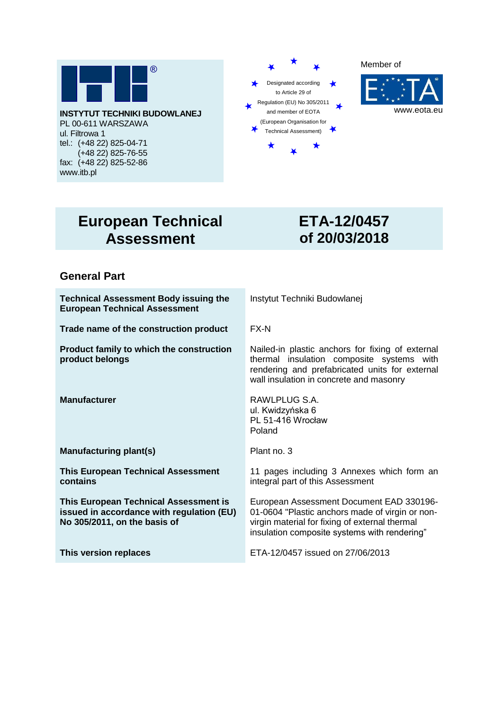

**INSTYTUT TECHNIKI BUDOWLANEJ** PL 00-611 WARSZAWA ul. Filtrowa 1 tel.: (+48 22) 825-04-71 (+48 22) 825-76-55 fax: (+48 22) 825-52-86 www.itb.pl







# **European Technical Assessment**

# **ETA-12/0457 of 20/03/2018**

# **General Part**

**Technical Assessment Body issuing the European Technical Assessment**

**Trade name of the construction product** FX-N

**Product family to which the construction product belongs**

**Manufacturing plant(s)** Plant no. 3

**This European Technical Assessment contains**

**This European Technical Assessment is issued in accordance with regulation (EU) No 305/2011, on the basis of** 

Instytut Techniki Budowlanej

Nailed-in plastic anchors for fixing of external thermal insulation composite systems with rendering and prefabricated units for external wall insulation in concrete and masonry

**Manufacturer Manufacturer RAWLPLUG S.A.** ul. Kwidzyńska 6 PL 51-416 Wrocław Poland

11 pages including 3 Annexes which form an integral part of this Assessment

European Assessment Document EAD 330196- 01-0604 "Plastic anchors made of virgin or nonvirgin material for fixing of external thermal insulation composite systems with rendering"

**This version replaces** ETA-12/0457 issued on 27/06/2013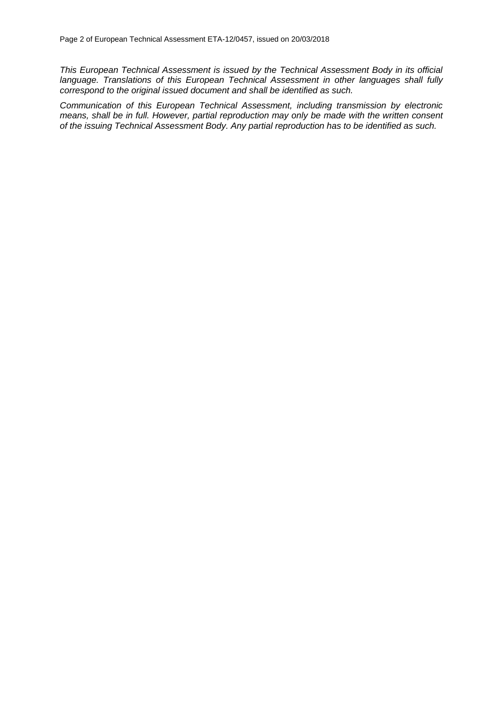*This European Technical Assessment is issued by the Technical Assessment Body in its official language. Translations of this European Technical Assessment in other languages shall fully correspond to the original issued document and shall be identified as such.*

*Communication of this European Technical Assessment, including transmission by electronic means, shall be in full. However, partial reproduction may only be made with the written consent of the issuing Technical Assessment Body. Any partial reproduction has to be identified as such.*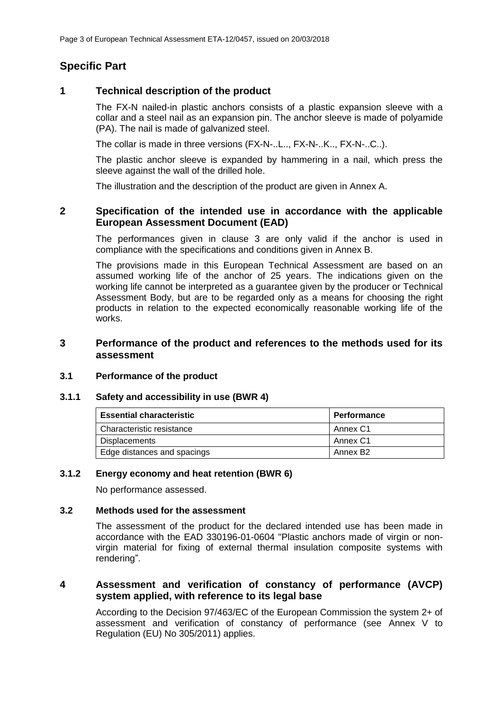# **Specific Part**

# **1 Technical description of the product**

The FX-N nailed-in plastic anchors consists of a plastic expansion sleeve with a collar and a steel nail as an expansion pin. The anchor sleeve is made of polyamide (PA). The nail is made of galvanized steel.

The collar is made in three versions (FX-N-..L.., FX-N-..K.., FX-N-..C..).

The plastic anchor sleeve is expanded by hammering in a nail, which press the sleeve against the wall of the drilled hole.

The illustration and the description of the product are given in Annex A.

# **2 Specification of the intended use in accordance with the applicable European Assessment Document (EAD)**

The performances given in clause 3 are only valid if the anchor is used in compliance with the specifications and conditions given in Annex B.

The provisions made in this European Technical Assessment are based on an assumed working life of the anchor of 25 years. The indications given on the working life cannot be interpreted as a guarantee given by the producer or Technical Assessment Body, but are to be regarded only as a means for choosing the right products in relation to the expected economically reasonable working life of the works.

# **3 Performance of the product and references to the methods used for its assessment**

#### **3.1 Performance of the product**

#### **3.1.1 Safety and accessibility in use (BWR 4)**

| <b>Essential characteristic</b> | <b>Performance</b> |
|---------------------------------|--------------------|
| Characteristic resistance       | Annex C1           |
| <b>Displacements</b>            | Annex C1           |
| Edge distances and spacings     | Annex B2           |

#### **3.1.2 Energy economy and heat retention (BWR 6)**

No performance assessed.

#### **3.2 Methods used for the assessment**

The assessment of the product for the declared intended use has been made in accordance with the EAD 330196-01-0604 "Plastic anchors made of virgin or nonvirgin material for fixing of external thermal insulation composite systems with rendering".

# **4 Assessment and verification of constancy of performance (AVCP) system applied, with reference to its legal base**

According to the Decision 97/463/EC of the European Commission the system 2+ of assessment and verification of constancy of performance (see Annex V to Regulation (EU) No 305/2011) applies.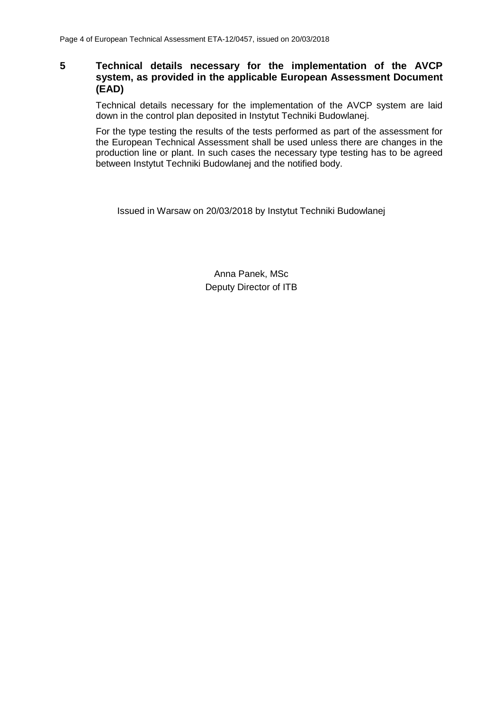# **5 Technical details necessary for the implementation of the AVCP system, as provided in the applicable European Assessment Document (EAD)**

Technical details necessary for the implementation of the AVCP system are laid down in the control plan deposited in Instytut Techniki Budowlanej.

For the type testing the results of the tests performed as part of the assessment for the European Technical Assessment shall be used unless there are changes in the production line or plant. In such cases the necessary type testing has to be agreed between Instytut Techniki Budowlanej and the notified body.

Issued in Warsaw on 20/03/2018 by Instytut Techniki Budowlanej

Anna Panek, MSc Deputy Director of ITB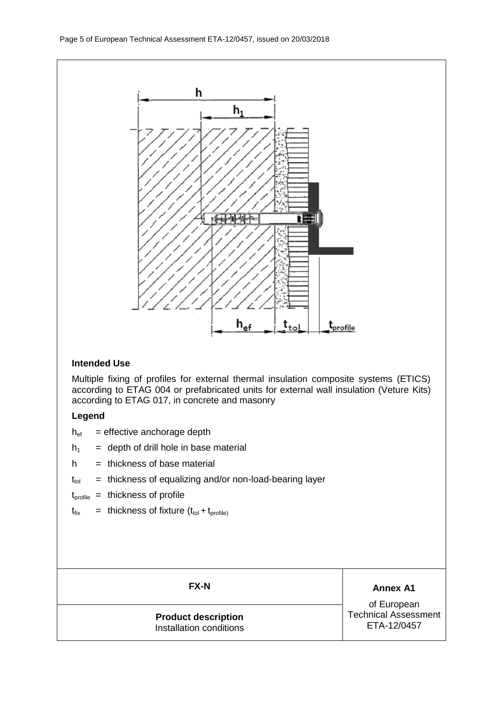

# **Intended Use**

Multiple fixing of profiles for external thermal insulation composite systems (ETICS) according to ETAG 004 or prefabricated units for external wall insulation (Veture Kits) according to ETAG 017, in concrete and masonry

## **Legend**

- $h_{ef}$  = effective anchorage depth
- $h_1$  = depth of drill hole in base material
- $h =$  thickness of base material
- $t_{tol}$  = thickness of equalizing and/or non-load-bearing layer
- $t_{\text{profile}}$  = thickness of profile
- $t_{fix}$  = thickness of fixture  $(t_{tol} + t_{profile})$

## **Product description** Installation conditions

**FX-N Annex A1** 

of European Technical Assessment ETA-12/0457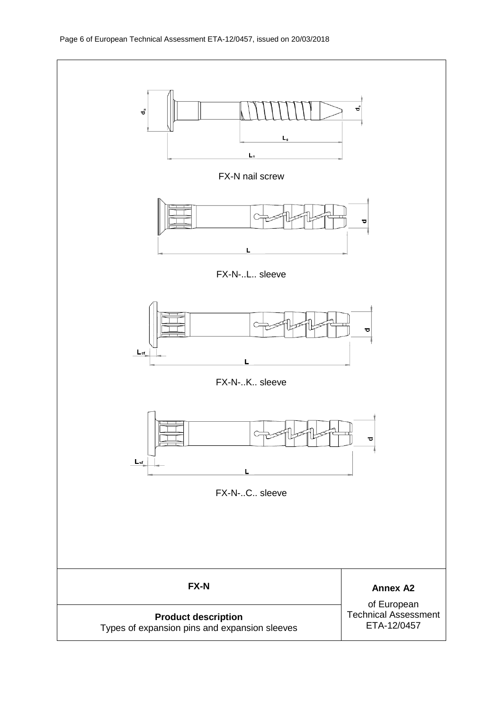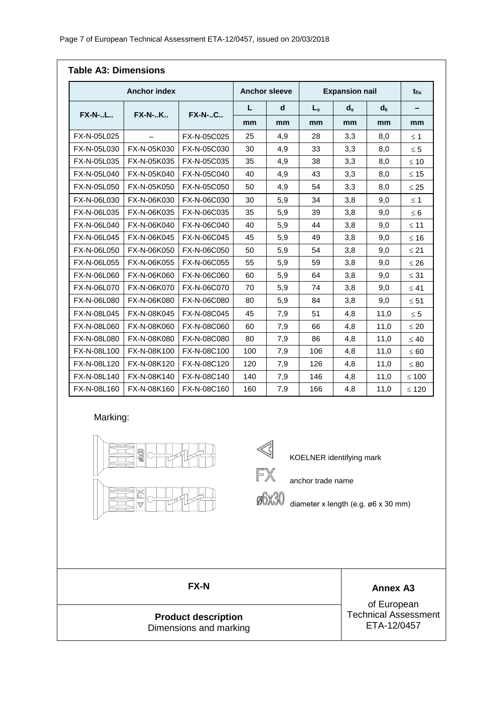| <b>Anchor index</b> |                          |               | <b>Anchor sleeve</b> |     | <b>Expansion nail</b>   |       |         | $t_{fix}$  |
|---------------------|--------------------------|---------------|----------------------|-----|-------------------------|-------|---------|------------|
|                     |                          |               | L                    | d   | $\mathsf{L}_\mathsf{s}$ | $d_s$ | $d_{k}$ |            |
| <b>FX-N-L</b>       | <b>FX-N-K</b>            | <b>FX-N-C</b> | mm                   | mm  | mm                      | mm    | mm      | mm         |
| FX-N-05L025         | $\overline{\phantom{0}}$ | FX-N-05C025   | 25                   | 4,9 | 28                      | 3,3   | 8,0     | $\leq$ 1   |
| FX-N-05L030         | FX-N-05K030              | FX-N-05C030   | 30                   | 4,9 | 33                      | 3,3   | 8,0     | $\leq 5$   |
| FX-N-05L035         | FX-N-05K035              | FX-N-05C035   | 35                   | 4,9 | 38                      | 3,3   | 8,0     | $\leq 10$  |
| FX-N-05L040         | FX-N-05K040              | FX-N-05C040   | 40                   | 4,9 | 43                      | 3,3   | 8,0     | $\leq 15$  |
| FX-N-05L050         | FX-N-05K050              | FX-N-05C050   | 50                   | 4,9 | 54                      | 3,3   | 8,0     | $\leq 25$  |
| FX-N-06L030         | FX-N-06K030              | FX-N-06C030   | 30                   | 5,9 | 34                      | 3,8   | 9,0     | $\leq 1$   |
| FX-N-06L035         | FX-N-06K035              | FX-N-06C035   | 35                   | 5,9 | 39                      | 3,8   | 9,0     | $\leq 6$   |
| FX-N-06L040         | FX-N-06K040              | FX-N-06C040   | 40                   | 5,9 | 44                      | 3,8   | 9,0     | $≤ 11$     |
| FX-N-06L045         | FX-N-06K045              | FX-N-06C045   | 45                   | 5,9 | 49                      | 3,8   | 9,0     | $≤ 16$     |
| FX-N-06L050         | FX-N-06K050              | FX-N-06C050   | 50                   | 5,9 | 54                      | 3,8   | 9,0     | $\leq 21$  |
| FX-N-06L055         | FX-N-06K055              | FX-N-06C055   | 55                   | 5,9 | 59                      | 3,8   | 9,0     | $\leq 26$  |
| FX-N-06L060         | FX-N-06K060              | FX-N-06C060   | 60                   | 5,9 | 64                      | 3,8   | 9,0     | $\leq 31$  |
| FX-N-06L070         | FX-N-06K070              | FX-N-06C070   | 70                   | 5,9 | 74                      | 3,8   | 9,0     | $\leq 41$  |
| FX-N-06L080         | FX-N-06K080              | FX-N-06C080   | 80                   | 5,9 | 84                      | 3,8   | 9,0     | $\leq 51$  |
| FX-N-08L045         | FX-N-08K045              | FX-N-08C045   | 45                   | 7,9 | 51                      | 4,8   | 11,0    | $\leq 5$   |
| FX-N-08L060         | FX-N-08K060              | FX-N-08C060   | 60                   | 7,9 | 66                      | 4,8   | 11,0    | $\leq 20$  |
| FX-N-08L080         | FX-N-08K080              | FX-N-08C080   | 80                   | 7,9 | 86                      | 4,8   | 11,0    | $\leq 40$  |
| FX-N-08L100         | FX-N-08K100              | FX-N-08C100   | 100                  | 7,9 | 106                     | 4,8   | 11,0    | $\leq 60$  |
| FX-N-08L120         | FX-N-08K120              | FX-N-08C120   | 120                  | 7,9 | 126                     | 4,8   | 11,0    | $\leq 80$  |
| FX-N-08L140         | FX-N-08K140              | FX-N-08C140   | 140                  | 7,9 | 146                     | 4,8   | 11,0    | $\leq 100$ |
| FX-N-08L160         | FX-N-08K160              | FX-N-08C160   | 160                  | 7,9 | 166                     | 4,8   | 11,0    | $\leq 120$ |

#### Marking:



KOELNER identifying mark

**FX** anchor trade name

diameter x length (e.g. ø6 x 30 mm)

**Product description** Dimensions and marking

**FX-N Annex A3** 

of European Technical Assessment ETA-12/0457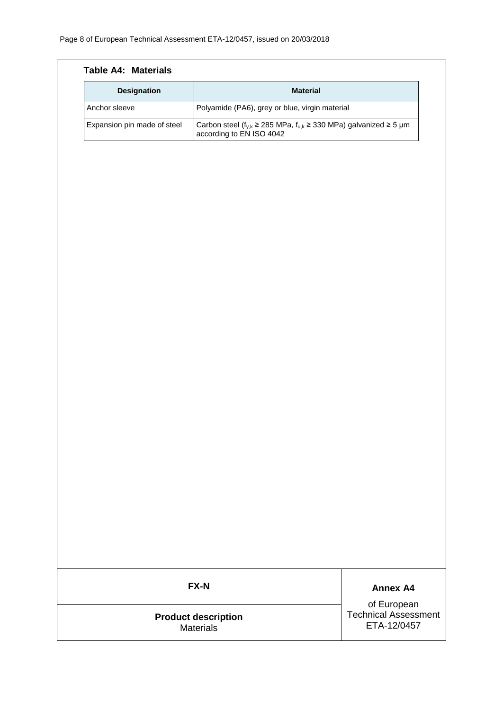| <b>Designation</b>          | <b>Material</b>                                                                                                |                                            |  |  |  |  |
|-----------------------------|----------------------------------------------------------------------------------------------------------------|--------------------------------------------|--|--|--|--|
| Anchor sleeve               | Polyamide (PA6), grey or blue, virgin material                                                                 |                                            |  |  |  |  |
| Expansion pin made of steel | Carbon steel ( $f_{y,k} \ge 285$ MPa, $f_{u,k} \ge 330$ MPa) galvanized $\ge 5$ µm<br>according to EN ISO 4042 |                                            |  |  |  |  |
|                             |                                                                                                                |                                            |  |  |  |  |
|                             |                                                                                                                |                                            |  |  |  |  |
|                             |                                                                                                                |                                            |  |  |  |  |
|                             |                                                                                                                |                                            |  |  |  |  |
|                             |                                                                                                                |                                            |  |  |  |  |
|                             |                                                                                                                |                                            |  |  |  |  |
|                             |                                                                                                                |                                            |  |  |  |  |
|                             |                                                                                                                |                                            |  |  |  |  |
|                             |                                                                                                                |                                            |  |  |  |  |
|                             |                                                                                                                |                                            |  |  |  |  |
|                             |                                                                                                                |                                            |  |  |  |  |
|                             |                                                                                                                |                                            |  |  |  |  |
|                             |                                                                                                                |                                            |  |  |  |  |
|                             |                                                                                                                |                                            |  |  |  |  |
|                             |                                                                                                                |                                            |  |  |  |  |
|                             |                                                                                                                |                                            |  |  |  |  |
|                             |                                                                                                                |                                            |  |  |  |  |
|                             |                                                                                                                |                                            |  |  |  |  |
|                             |                                                                                                                |                                            |  |  |  |  |
|                             |                                                                                                                |                                            |  |  |  |  |
|                             |                                                                                                                |                                            |  |  |  |  |
|                             |                                                                                                                |                                            |  |  |  |  |
|                             |                                                                                                                |                                            |  |  |  |  |
|                             | FX-N                                                                                                           | <b>Annex A4</b>                            |  |  |  |  |
|                             |                                                                                                                | of European                                |  |  |  |  |
|                             | <b>Product description</b>                                                                                     | <b>Technical Assessment</b><br>ETA-12/0457 |  |  |  |  |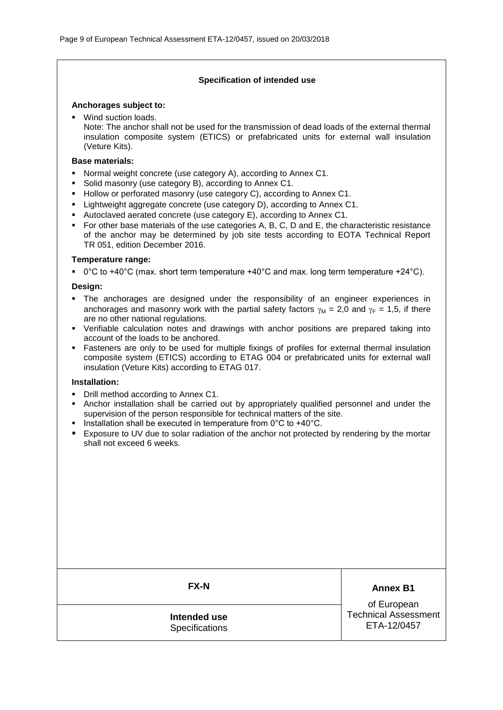#### **Specification of intended use**

#### **Anchorages subject to:**

**Wind suction loads.** 

Note: The anchor shall not be used for the transmission of dead loads of the external thermal insulation composite system (ETICS) or prefabricated units for external wall insulation (Veture Kits).

#### **Base materials:**

- Normal weight concrete (use category A), according to Annex C1.
- Solid masonry (use category B), according to Annex C1.
- Hollow or perforated masonry (use category C), according to Annex C1.
- Lightweight aggregate concrete (use category D), according to Annex C1.
- Autoclaved aerated concrete (use category E), according to Annex C1.
- For other base materials of the use categories A, B, C, D and E, the characteristic resistance of the anchor may be determined by job site tests according to EOTA Technical Report TR 051, edition December 2016.

#### **Temperature range:**

 $\degree$  0°C to +40°C (max. short term temperature +40°C and max. long term temperature +24°C).

#### **Design:**

- The anchorages are designed under the responsibility of an engineer experiences in anchorages and masonry work with the partial safety factors  $\gamma_M = 2.0$  and  $\gamma_F = 1.5$ , if there are no other national regulations.
- Verifiable calculation notes and drawings with anchor positions are prepared taking into account of the loads to be anchored.
- Fasteners are only to be used for multiple fixings of profiles for external thermal insulation composite system (ETICS) according to ETAG 004 or prefabricated units for external wall insulation (Veture Kits) according to ETAG 017.

#### **Installation:**

- Drill method according to Annex C1.
- Anchor installation shall be carried out by appropriately qualified personnel and under the supervision of the person responsible for technical matters of the site.
- Installation shall be executed in temperature from  $0^{\circ}$ C to +40 $^{\circ}$ C.
- Exposure to UV due to solar radiation of the anchor not protected by rendering by the mortar shall not exceed 6 weeks.

**FX-N Annex B1** 

**Intended use Specifications** 

of European Technical Assessment ETA-12/0457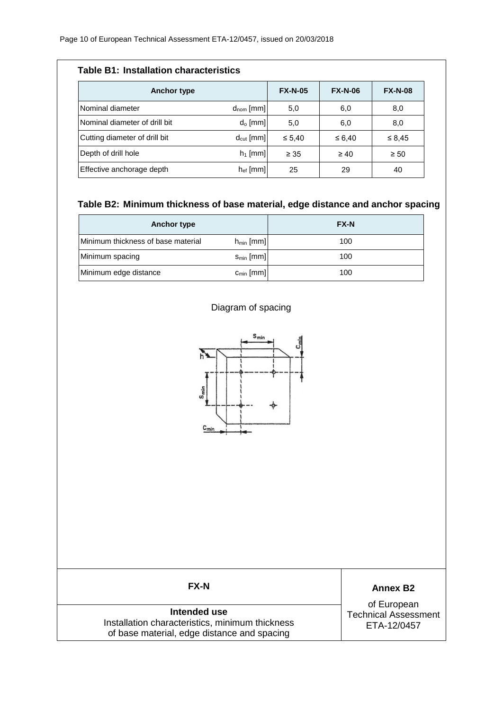| <b>Table B1: Installation characteristics</b> |                |                |                |                |  |  |  |
|-----------------------------------------------|----------------|----------------|----------------|----------------|--|--|--|
| <b>Anchor type</b>                            |                | <b>FX-N-05</b> | <b>FX-N-06</b> | <b>FX-N-08</b> |  |  |  |
| Nominal diameter                              | $d_{nom}$ [mm] | 5,0            | 6,0            | 8,0            |  |  |  |
| Nominal diameter of drill bit                 | $d_0$ [mm]     | 5,0            | 6,0            | 8,0            |  |  |  |
| Cutting diameter of drill bit                 | $d_{cut}$ [mm] | $\leq 5.40$    | ≤ 6,40         | $\leq 8.45$    |  |  |  |
| Depth of drill hole                           | $h_1$ [mm]     | $\geq 35$      | $\geq 40$      | $\geq 50$      |  |  |  |
| Effective anchorage depth                     | $h_{ef}$ [mm]  | 25             | 29             | 40             |  |  |  |

## **Table B2: Minimum thickness of base material, edge distance and anchor spacing**

| Anchor type                        |                | <b>FX-N</b> |
|------------------------------------|----------------|-------------|
| Minimum thickness of base material | $h_{min}$ [mm] | 100         |
| Minimum spacing                    | $S_{min}$ [mm] | 100         |
| Minimum edge distance              | $c_{min}$ [mm] | 100         |

# Diagram of spacing